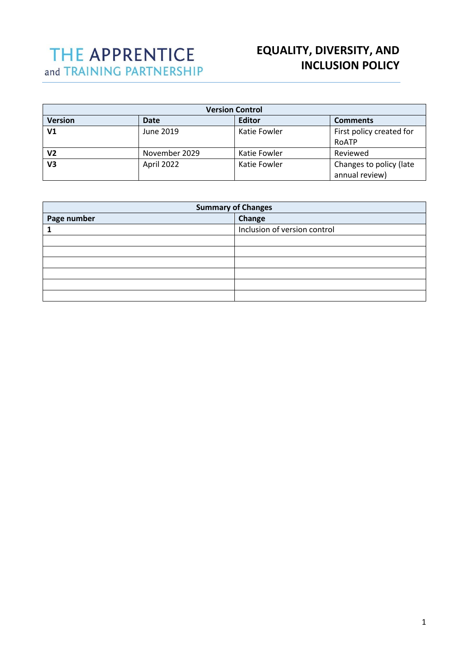# THE APPRENTICE and TRAINING PARTNERSHIP

# **EQUALITY, DIVERSITY, AND INCLUSION POLICY**

| <b>Version Control</b> |               |               |                          |  |
|------------------------|---------------|---------------|--------------------------|--|
| <b>Version</b>         | Date          | <b>Editor</b> | <b>Comments</b>          |  |
| V1                     | June 2019     | Katie Fowler  | First policy created for |  |
|                        |               |               | RoATP                    |  |
| V2                     | November 2029 | Katie Fowler  | Reviewed                 |  |
| V3                     | April 2022    | Katie Fowler  | Changes to policy (late  |  |
|                        |               |               | annual review)           |  |

| <b>Summary of Changes</b> |                              |  |  |
|---------------------------|------------------------------|--|--|
| Page number               | Change                       |  |  |
|                           | Inclusion of version control |  |  |
|                           |                              |  |  |
|                           |                              |  |  |
|                           |                              |  |  |
|                           |                              |  |  |
|                           |                              |  |  |
|                           |                              |  |  |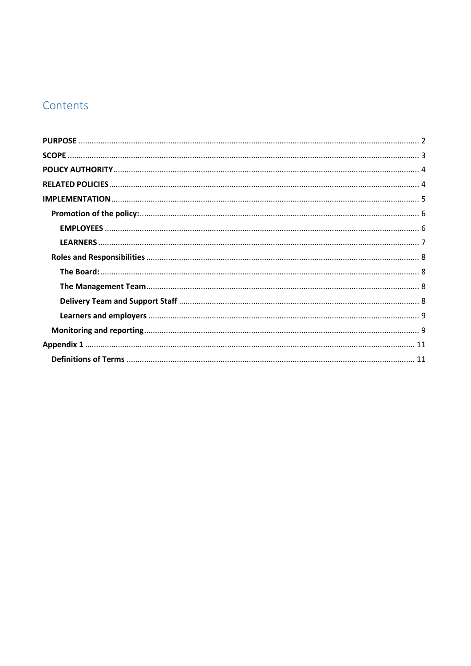# Contents

<span id="page-1-0"></span>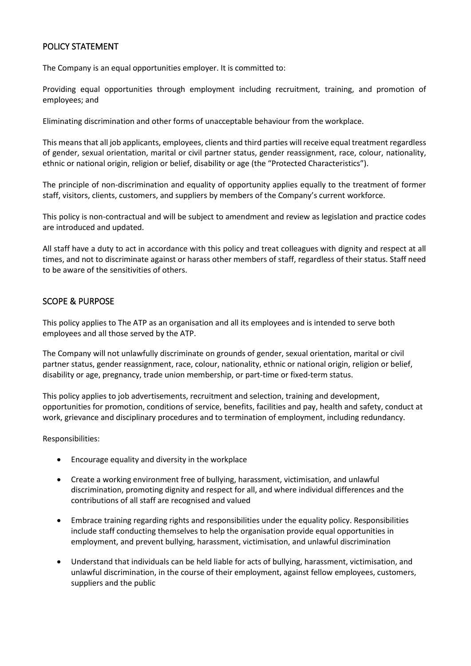## POLICY STATEMENT

The Company is an equal opportunities employer. It is committed to:

Providing equal opportunities through employment including recruitment, training, and promotion of employees; and

Eliminating discrimination and other forms of unacceptable behaviour from the workplace.

This means that all job applicants, employees, clients and third parties will receive equal treatment regardless of gender, sexual orientation, marital or civil partner status, gender reassignment, race, colour, nationality, ethnic or national origin, religion or belief, disability or age (the "Protected Characteristics").

The principle of non-discrimination and equality of opportunity applies equally to the treatment of former staff, visitors, clients, customers, and suppliers by members of the Company's current workforce.

This policy is non-contractual and will be subject to amendment and review as legislation and practice codes are introduced and updated.

All staff have a duty to act in accordance with this policy and treat colleagues with dignity and respect at all times, and not to discriminate against or harass other members of staff, regardless of their status. Staff need to be aware of the sensitivities of others.

## <span id="page-2-0"></span>SCOPE & PURPOSE

This policy applies to The ATP as an organisation and all its employees and is intended to serve both employees and all those served by the ATP.

The Company will not unlawfully discriminate on grounds of gender, sexual orientation, marital or civil partner status, gender reassignment, race, colour, nationality, ethnic or national origin, religion or belief, disability or age, pregnancy, trade union membership, or part-time or fixed-term status.

This policy applies to job advertisements, recruitment and selection, training and development, opportunities for promotion, conditions of service, benefits, facilities and pay, health and safety, conduct at work, grievance and disciplinary procedures and to termination of employment, including redundancy.

Responsibilities:

- Encourage equality and diversity in the workplace
- Create a working environment free of bullying, harassment, victimisation, and unlawful discrimination, promoting dignity and respect for all, and where individual differences and the contributions of all staff are recognised and valued
- Embrace training regarding rights and responsibilities under the equality policy. Responsibilities include staff conducting themselves to help the organisation provide equal opportunities in employment, and prevent bullying, harassment, victimisation, and unlawful discrimination
- Understand that individuals can be held liable for acts of bullying, harassment, victimisation, and unlawful discrimination, in the course of their employment, against fellow employees, customers, suppliers and the public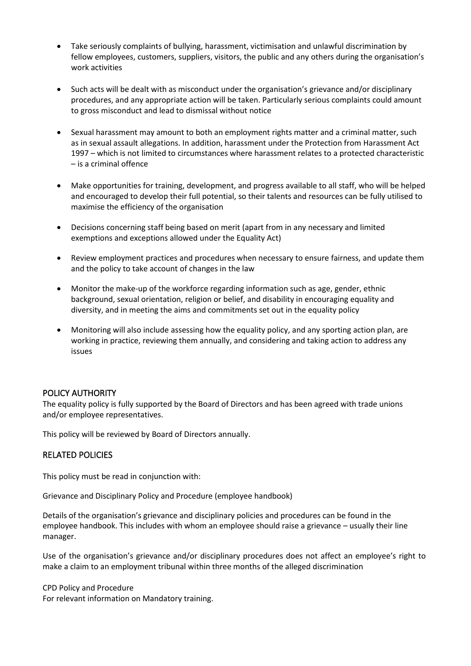- Take seriously complaints of bullying, harassment, victimisation and unlawful discrimination by fellow employees, customers, suppliers, visitors, the public and any others during the organisation's work activities
- Such acts will be dealt with as misconduct under the organisation's grievance and/or disciplinary procedures, and any appropriate action will be taken. Particularly serious complaints could amount to gross misconduct and lead to dismissal without notice
- Sexual harassment may amount to both an employment rights matter and a criminal matter, such as in sexual assault allegations. In addition, harassment under the Protection from Harassment Act 1997 – which is not limited to circumstances where harassment relates to a protected characteristic – is a criminal offence
- Make opportunities for training, development, and progress available to all staff, who will be helped and encouraged to develop their full potential, so their talents and resources can be fully utilised to maximise the efficiency of the organisation
- Decisions concerning staff being based on merit (apart from in any necessary and limited exemptions and exceptions allowed under the Equality Act)
- Review employment practices and procedures when necessary to ensure fairness, and update them and the policy to take account of changes in the law
- Monitor the make-up of the workforce regarding information such as age, gender, ethnic background, sexual orientation, religion or belief, and disability in encouraging equality and diversity, and in meeting the aims and commitments set out in the equality policy
- Monitoring will also include assessing how the equality policy, and any sporting action plan, are working in practice, reviewing them annually, and considering and taking action to address any issues

## <span id="page-3-0"></span>POLICY AUTHORITY

The equality policy is fully supported by the Board of Directors and has been agreed with trade unions and/or employee representatives.

This policy will be reviewed by Board of Directors annually.

## <span id="page-3-1"></span>RELATED POLICIES

This policy must be read in conjunction with:

Grievance and Disciplinary Policy and Procedure (employee handbook)

Details of the organisation's grievance and disciplinary policies and procedures can be found in the employee handbook. This includes with whom an employee should raise a grievance – usually their line manager.

Use of the organisation's grievance and/or disciplinary procedures does not affect an employee's right to make a claim to an employment tribunal within three months of the alleged discrimination

CPD Policy and Procedure For relevant information on Mandatory training.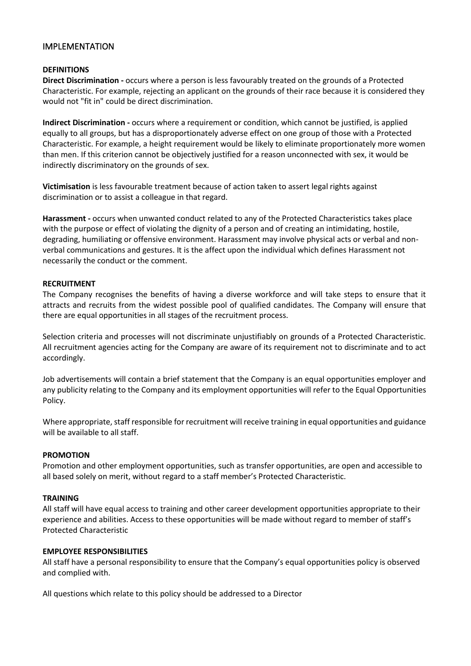## <span id="page-4-0"></span>IMPLEMENTATION

#### **DEFINITIONS**

**Direct Discrimination -** occurs where a person is less favourably treated on the grounds of a Protected Characteristic. For example, rejecting an applicant on the grounds of their race because it is considered they would not "fit in" could be direct discrimination.

**Indirect Discrimination -** occurs where a requirement or condition, which cannot be justified, is applied equally to all groups, but has a disproportionately adverse effect on one group of those with a Protected Characteristic. For example, a height requirement would be likely to eliminate proportionately more women than men. If this criterion cannot be objectively justified for a reason unconnected with sex, it would be indirectly discriminatory on the grounds of sex.

**Victimisation** is less favourable treatment because of action taken to assert legal rights against discrimination or to assist a colleague in that regard.

**Harassment -** occurs when unwanted conduct related to any of the Protected Characteristics takes place with the purpose or effect of violating the dignity of a person and of creating an intimidating, hostile, degrading, humiliating or offensive environment. Harassment may involve physical acts or verbal and nonverbal communications and gestures. It is the affect upon the individual which defines Harassment not necessarily the conduct or the comment.

#### **RECRUITMENT**

The Company recognises the benefits of having a diverse workforce and will take steps to ensure that it attracts and recruits from the widest possible pool of qualified candidates. The Company will ensure that there are equal opportunities in all stages of the recruitment process.

Selection criteria and processes will not discriminate unjustifiably on grounds of a Protected Characteristic. All recruitment agencies acting for the Company are aware of its requirement not to discriminate and to act accordingly.

Job advertisements will contain a brief statement that the Company is an equal opportunities employer and any publicity relating to the Company and its employment opportunities will refer to the Equal Opportunities Policy.

Where appropriate, staff responsible for recruitment will receive training in equal opportunities and guidance will be available to all staff.

#### **PROMOTION**

Promotion and other employment opportunities, such as transfer opportunities, are open and accessible to all based solely on merit, without regard to a staff member's Protected Characteristic.

#### **TRAINING**

All staff will have equal access to training and other career development opportunities appropriate to their experience and abilities. Access to these opportunities will be made without regard to member of staff's Protected Characteristic

#### **EMPLOYEE RESPONSIBILITIES**

All staff have a personal responsibility to ensure that the Company's equal opportunities policy is observed and complied with.

All questions which relate to this policy should be addressed to a Director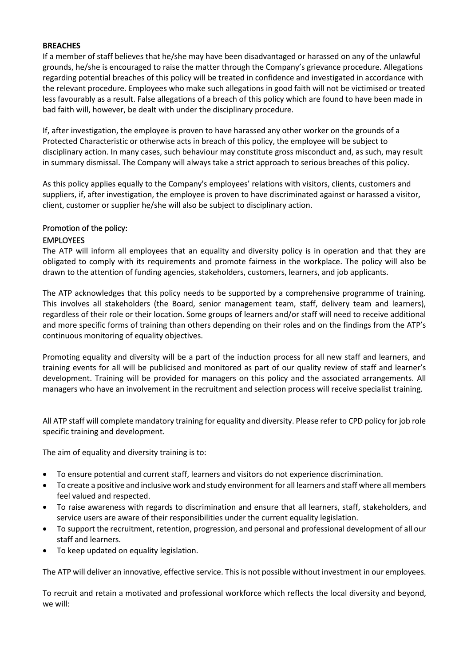#### **BREACHES**

If a member of staff believes that he/she may have been disadvantaged or harassed on any of the unlawful grounds, he/she is encouraged to raise the matter through the Company's grievance procedure. Allegations regarding potential breaches of this policy will be treated in confidence and investigated in accordance with the relevant procedure. Employees who make such allegations in good faith will not be victimised or treated less favourably as a result. False allegations of a breach of this policy which are found to have been made in bad faith will, however, be dealt with under the disciplinary procedure.

If, after investigation, the employee is proven to have harassed any other worker on the grounds of a Protected Characteristic or otherwise acts in breach of this policy, the employee will be subject to disciplinary action. In many cases, such behaviour may constitute gross misconduct and, as such, may result in summary dismissal. The Company will always take a strict approach to serious breaches of this policy.

As this policy applies equally to the Company's employees' relations with visitors, clients, customers and suppliers, if, after investigation, the employee is proven to have discriminated against or harassed a visitor, client, customer or supplier he/she will also be subject to disciplinary action.

## <span id="page-5-0"></span>Promotion of the policy:

#### <span id="page-5-1"></span>EMPLOYEES

The ATP will inform all employees that an equality and diversity policy is in operation and that they are obligated to comply with its requirements and promote fairness in the workplace. The policy will also be drawn to the attention of funding agencies, stakeholders, customers, learners, and job applicants.

The ATP acknowledges that this policy needs to be supported by a comprehensive programme of training. This involves all stakeholders (the Board, senior management team, staff, delivery team and learners), regardless of their role or their location. Some groups of learners and/or staff will need to receive additional and more specific forms of training than others depending on their roles and on the findings from the ATP's continuous monitoring of equality objectives.

Promoting equality and diversity will be a part of the induction process for all new staff and learners, and training events for all will be publicised and monitored as part of our quality review of staff and learner's development. Training will be provided for managers on this policy and the associated arrangements. All managers who have an involvement in the recruitment and selection process will receive specialist training.

All ATP staff will complete mandatory training for equality and diversity. Please refer to CPD policy for job role specific training and development.

The aim of equality and diversity training is to:

- To ensure potential and current staff, learners and visitors do not experience discrimination.
- To create a positive and inclusive work and study environment for all learners and staff where all members feel valued and respected.
- To raise awareness with regards to discrimination and ensure that all learners, staff, stakeholders, and service users are aware of their responsibilities under the current equality legislation.
- To support the recruitment, retention, progression, and personal and professional development of all our staff and learners.
- To keep updated on equality legislation.

The ATP will deliver an innovative, effective service. This is not possible without investment in our employees.

To recruit and retain a motivated and professional workforce which reflects the local diversity and beyond, we will: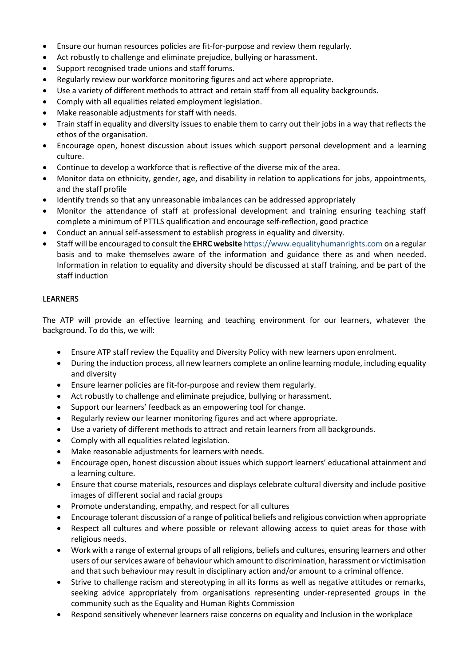- Ensure our human resources policies are fit-for-purpose and review them regularly.
- Act robustly to challenge and eliminate prejudice, bullying or harassment.
- Support recognised trade unions and staff forums.
- Regularly review our workforce monitoring figures and act where appropriate.
- Use a variety of different methods to attract and retain staff from all equality backgrounds.
- Comply with all equalities related employment legislation.
- Make reasonable adjustments for staff with needs.
- Train staff in equality and diversity issues to enable them to carry out their jobs in a way that reflects the ethos of the organisation.
- Encourage open, honest discussion about issues which support personal development and a learning culture.
- Continue to develop a workforce that is reflective of the diverse mix of the area.
- Monitor data on ethnicity, gender, age, and disability in relation to applications for jobs, appointments, and the staff profile
- Identify trends so that any unreasonable imbalances can be addressed appropriately
- Monitor the attendance of staff at professional development and training ensuring teaching staff complete a minimum of PTTLS qualification and encourage self-reflection, good practice
- Conduct an annual self-assessment to establish progress in equality and diversity.
- Staff will be encouraged to consult the **EHRC website** https://www.equalityhumanrights.com on a regular basis and to make themselves aware of the information and guidance there as and when needed. Information in relation to equality and diversity should be discussed at staff training, and be part of the staff induction

#### <span id="page-6-0"></span>LEARNERS

The ATP will provide an effective learning and teaching environment for our learners, whatever the background. To do this, we will:

- Ensure ATP staff review the Equality and Diversity Policy with new learners upon enrolment.
- During the induction process, all new learners complete an online learning module, including equality and diversity
- Ensure learner policies are fit-for-purpose and review them regularly.
- Act robustly to challenge and eliminate prejudice, bullying or harassment.
- Support our learners' feedback as an empowering tool for change.
- Regularly review our learner monitoring figures and act where appropriate.
- Use a variety of different methods to attract and retain learners from all backgrounds.
- Comply with all equalities related legislation.
- Make reasonable adjustments for learners with needs.
- Encourage open, honest discussion about issues which support learners' educational attainment and a learning culture.
- Ensure that course materials, resources and displays celebrate cultural diversity and include positive images of different social and racial groups
- Promote understanding, empathy, and respect for all cultures
- Encourage tolerant discussion of a range of political beliefs and religious conviction when appropriate
- Respect all cultures and where possible or relevant allowing access to quiet areas for those with religious needs.
- Work with a range of external groups of all religions, beliefs and cultures, ensuring learners and other users of our services aware of behaviour which amount to discrimination, harassment or victimisation and that such behaviour may result in disciplinary action and/or amount to a criminal offence.
- Strive to challenge racism and stereotyping in all its forms as well as negative attitudes or remarks, seeking advice appropriately from organisations representing under-represented groups in the community such as the Equality and Human Rights Commission
- Respond sensitively whenever learners raise concerns on equality and Inclusion in the workplace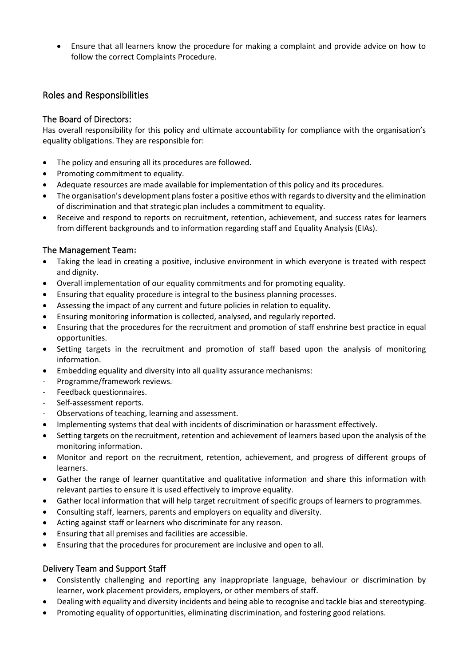• Ensure that all learners know the procedure for making a complaint and provide advice on how to follow the correct Complaints Procedure.

## <span id="page-7-0"></span>Roles and Responsibilities

## <span id="page-7-1"></span>The Board of Directors:

Has overall responsibility for this policy and ultimate accountability for compliance with the organisation's equality obligations. They are responsible for:

- The policy and ensuring all its procedures are followed.
- Promoting commitment to equality.
- Adequate resources are made available for implementation of this policy and its procedures.
- The organisation's development plans foster a positive ethos with regards to diversity and the elimination of discrimination and that strategic plan includes a commitment to equality.
- Receive and respond to reports on recruitment, retention, achievement, and success rates for learners from different backgrounds and to information regarding staff and Equality Analysis (EIAs).

## <span id="page-7-2"></span>The Management Team**:**

- Taking the lead in creating a positive, inclusive environment in which everyone is treated with respect and dignity.
- Overall implementation of our equality commitments and for promoting equality.
- Ensuring that equality procedure is integral to the business planning processes.
- Assessing the impact of any current and future policies in relation to equality.
- Ensuring monitoring information is collected, analysed, and regularly reported.
- Ensuring that the procedures for the recruitment and promotion of staff enshrine best practice in equal opportunities.
- Setting targets in the recruitment and promotion of staff based upon the analysis of monitoring information.
- Embedding equality and diversity into all quality assurance mechanisms:
- Programme/framework reviews.
- Feedback questionnaires.
- Self-assessment reports.
- Observations of teaching, learning and assessment.
- Implementing systems that deal with incidents of discrimination or harassment effectively.
- Setting targets on the recruitment, retention and achievement of learners based upon the analysis of the monitoring information.
- Monitor and report on the recruitment, retention, achievement, and progress of different groups of learners.
- Gather the range of learner quantitative and qualitative information and share this information with relevant parties to ensure it is used effectively to improve equality.
- Gather local information that will help target recruitment of specific groups of learners to programmes.
- Consulting staff, learners, parents and employers on equality and diversity.
- Acting against staff or learners who discriminate for any reason.
- Ensuring that all premises and facilities are accessible.
- Ensuring that the procedures for procurement are inclusive and open to all.

## <span id="page-7-3"></span>Delivery Team and Support Staff

- Consistently challenging and reporting any inappropriate language, behaviour or discrimination by learner, work placement providers, employers, or other members of staff.
- Dealing with equality and diversity incidents and being able to recognise and tackle bias and stereotyping.
- Promoting equality of opportunities, eliminating discrimination, and fostering good relations.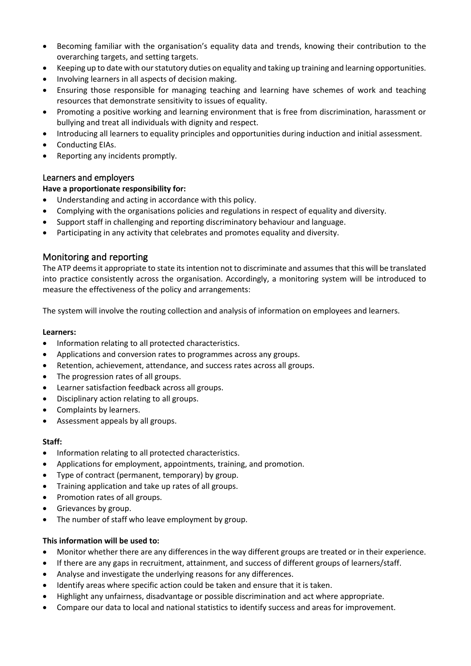- Becoming familiar with the organisation's equality data and trends, knowing their contribution to the overarching targets, and setting targets.
- Keeping up to date with our statutory duties on equality and taking up training and learning opportunities.
- Involving learners in all aspects of decision making.
- Ensuring those responsible for managing teaching and learning have schemes of work and teaching resources that demonstrate sensitivity to issues of equality.
- Promoting a positive working and learning environment that is free from discrimination, harassment or bullying and treat all individuals with dignity and respect.
- Introducing all learners to equality principles and opportunities during induction and initial assessment.
- Conducting EIAs.
- Reporting any incidents promptly.

## <span id="page-8-0"></span>Learners and employers

## **Have a proportionate responsibility for:**

- Understanding and acting in accordance with this policy.
- Complying with the organisations policies and regulations in respect of equality and diversity.
- Support staff in challenging and reporting discriminatory behaviour and language.
- Participating in any activity that celebrates and promotes equality and diversity.

## <span id="page-8-1"></span>Monitoring and reporting

The ATP deems it appropriate to state its intention not to discriminate and assumes that this will be translated into practice consistently across the organisation. Accordingly, a monitoring system will be introduced to measure the effectiveness of the policy and arrangements:

The system will involve the routing collection and analysis of information on employees and learners.

#### **Learners:**

- Information relating to all protected characteristics.
- Applications and conversion rates to programmes across any groups.
- Retention, achievement, attendance, and success rates across all groups.
- The progression rates of all groups.
- Learner satisfaction feedback across all groups.
- Disciplinary action relating to all groups.
- Complaints by learners.
- Assessment appeals by all groups.

#### **Staff:**

- Information relating to all protected characteristics.
- Applications for employment, appointments, training, and promotion.
- Type of contract (permanent, temporary) by group.
- Training application and take up rates of all groups.
- Promotion rates of all groups.
- Grievances by group.
- The number of staff who leave employment by group.

## **This information will be used to:**

- Monitor whether there are any differences in the way different groups are treated or in their experience.
- If there are any gaps in recruitment, attainment, and success of different groups of learners/staff.
- Analyse and investigate the underlying reasons for any differences.
- Identify areas where specific action could be taken and ensure that it is taken.
- Highlight any unfairness, disadvantage or possible discrimination and act where appropriate.
- Compare our data to local and national statistics to identify success and areas for improvement.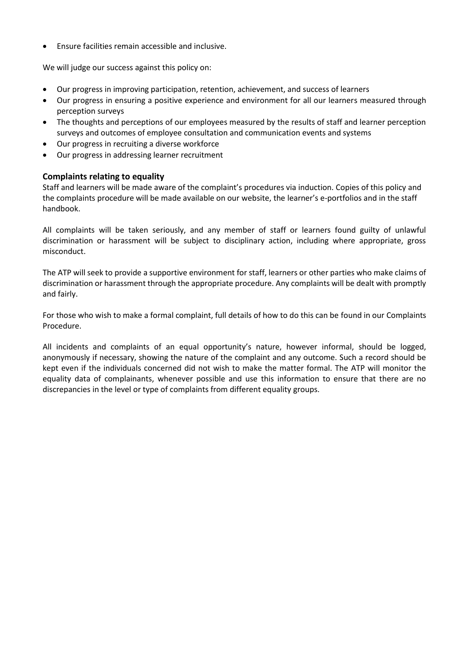• Ensure facilities remain accessible and inclusive.

We will judge our success against this policy on:

- Our progress in improving participation, retention, achievement, and success of learners
- Our progress in ensuring a positive experience and environment for all our learners measured through perception surveys
- The thoughts and perceptions of our employees measured by the results of staff and learner perception surveys and outcomes of employee consultation and communication events and systems
- Our progress in recruiting a diverse workforce
- Our progress in addressing learner recruitment

## **Complaints relating to equality**

Staff and learners will be made aware of the complaint's procedures via induction. Copies of this policy and the complaints procedure will be made available on our website, the learner's e-portfolios and in the staff handbook.

All complaints will be taken seriously, and any member of staff or learners found guilty of unlawful discrimination or harassment will be subject to disciplinary action, including where appropriate, gross misconduct.

The ATP will seek to provide a supportive environment for staff, learners or other parties who make claims of discrimination or harassment through the appropriate procedure. Any complaints will be dealt with promptly and fairly.

For those who wish to make a formal complaint, full details of how to do this can be found in our Complaints Procedure.

All incidents and complaints of an equal opportunity's nature, however informal, should be logged, anonymously if necessary, showing the nature of the complaint and any outcome. Such a record should be kept even if the individuals concerned did not wish to make the matter formal. The ATP will monitor the equality data of complainants, whenever possible and use this information to ensure that there are no discrepancies in the level or type of complaints from different equality groups.